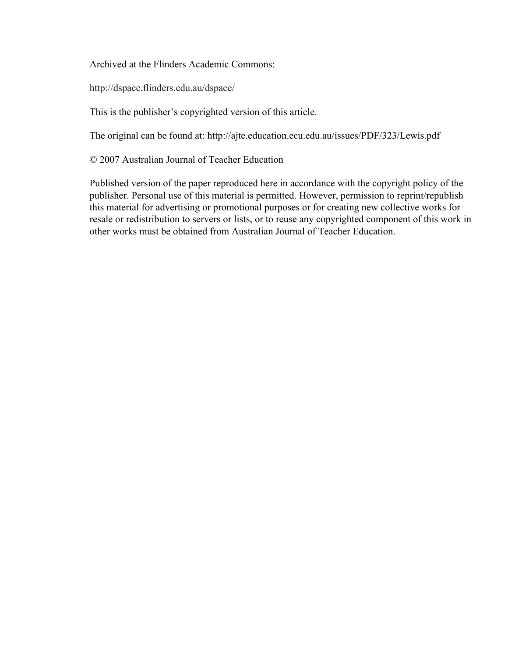Archived at the Flinders Academic Commons:

http://dspace.flinders.edu.au/dspace/

This is the publisher's copyrighted version of this article.

The original can be found at: http://ajte.education.ecu.edu.au/issues/PDF/323/Lewis.pdf

© 2007 Australian Journal of Teacher Education

Published version of the paper reproduced here in accordance with the copyright policy of the publisher. Personal use of this material is permitted. However, permission to reprint/republish this material for advertising or promotional purposes or for creating new collective works for resale or redistribution to servers or lists, or to reuse any copyrighted component of this work in other works must be obtained from Australian Journal of Teacher Education.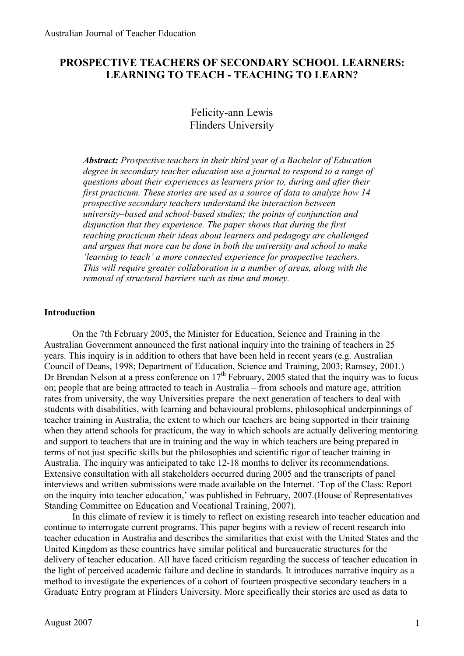# **PROSPECTIVE TEACHERS OF SECONDARY SCHOOL LEARNERS: LEARNING TO TEACH - TEACHING TO LEARN?**

# Felicity-ann Lewis Flinders University

*Abstract: Prospective teachers in their third year of a Bachelor of Education degree in secondary teacher education use a journal to respond to a range of questions about their experiences as learners prior to, during and after their first practicum. These stories are used as a source of data to analyze how 14 prospective secondary teachers understand the interaction between university–based and school-based studies; the points of conjunction and disjunction that they experience. The paper shows that during the first teaching practicum their ideas about learners and pedagogy are challenged and argues that more can be done in both the university and school to make 'learning to teach' a more connected experience for prospective teachers. This will require greater collaboration in a number of areas, along with the removal of structural barriers such as time and money.*

#### **Introduction**

On the 7th February 2005, the Minister for Education, Science and Training in the Australian Government announced the first national inquiry into the training of teachers in 25 years. This inquiry is in addition to others that have been held in recent years (e.g. Australian Council of Deans, 1998; Department of Education, Science and Training, 2003; Ramsey, 2001.) Dr Brendan Nelson at a press conference on  $17<sup>th</sup>$  February, 2005 stated that the inquiry was to focus on; people that are being attracted to teach in Australia – from schools and mature age, attrition rates from university, the way Universities prepare the next generation of teachers to deal with students with disabilities, with learning and behavioural problems, philosophical underpinnings of teacher training in Australia, the extent to which our teachers are being supported in their training when they attend schools for practicum, the way in which schools are actually delivering mentoring and support to teachers that are in training and the way in which teachers are being prepared in terms of not just specific skills but the philosophies and scientific rigor of teacher training in Australia. The inquiry was anticipated to take 12-18 months to deliver its recommendations. Extensive consultation with all stakeholders occurred during 2005 and the transcripts of panel interviews and written submissions were made available on the Internet. 'Top of the Class: Report on the inquiry into teacher education,' was published in February, 2007.(House of Representatives Standing Committee on Education and Vocational Training, 2007).

In this climate of review it is timely to reflect on existing research into teacher education and continue to interrogate current programs. This paper begins with a review of recent research into teacher education in Australia and describes the similarities that exist with the United States and the United Kingdom as these countries have similar political and bureaucratic structures for the delivery of teacher education. All have faced criticism regarding the success of teacher education in the light of perceived academic failure and decline in standards. It introduces narrative inquiry as a method to investigate the experiences of a cohort of fourteen prospective secondary teachers in a Graduate Entry program at Flinders University. More specifically their stories are used as data to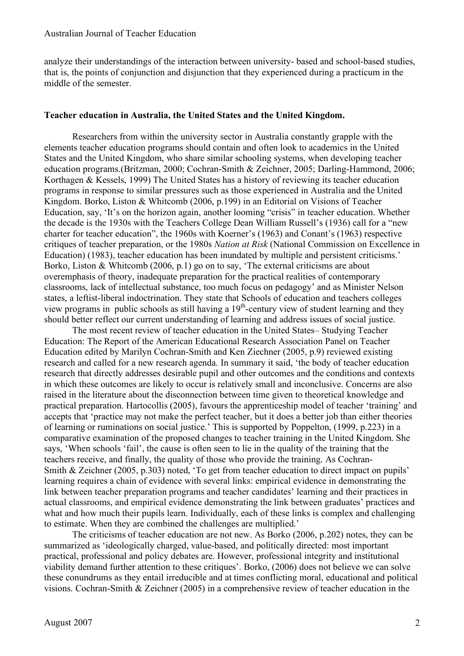analyze their understandings of the interaction between university- based and school-based studies, that is, the points of conjunction and disjunction that they experienced during a practicum in the middle of the semester.

### **Teacher education in Australia, the United States and the United Kingdom.**

Researchers from within the university sector in Australia constantly grapple with the elements teacher education programs should contain and often look to academics in the United States and the United Kingdom, who share similar schooling systems, when developing teacher education programs.(Britzman, 2000; Cochran-Smith & Zeichner, 2005; Darling-Hammond, 2006; Korthagen & Kessels, 1999) The United States has a history of reviewing its teacher education programs in response to similar pressures such as those experienced in Australia and the United Kingdom. Borko, Liston & Whitcomb (2006, p.199) in an Editorial on Visions of Teacher Education, say, 'It's on the horizon again, another looming "crisis" in teacher education. Whether the decade is the 1930s with the Teachers College Dean William Russell's (1936) call for a "new charter for teacher education", the 1960s with Koerner's (1963) and Conant's (1963) respective critiques of teacher preparation, or the 1980s *Nation at Risk* (National Commission on Excellence in Education) (1983), teacher education has been inundated by multiple and persistent criticisms.' Borko, Liston & Whitcomb (2006, p.1) go on to say, 'The external criticisms are about overemphasis of theory, inadequate preparation for the practical realities of contemporary classrooms, lack of intellectual substance, too much focus on pedagogy' and as Minister Nelson states, a leftist-liberal indoctrination. They state that Schools of education and teachers colleges view programs in public schools as still having a 19<sup>th</sup>-century view of student learning and they should better reflect our current understanding of learning and address issues of social justice.

The most recent review of teacher education in the United States– Studying Teacher Education: The Report of the American Educational Research Association Panel on Teacher Education edited by Marilyn Cochran-Smith and Ken Ziechner (2005, p.9) reviewed existing research and called for a new research agenda. In summary it said, 'the body of teacher education research that directly addresses desirable pupil and other outcomes and the conditions and contexts in which these outcomes are likely to occur is relatively small and inconclusive. Concerns are also raised in the literature about the disconnection between time given to theoretical knowledge and practical preparation. Hartocollis (2005), favours the apprenticeship model of teacher 'training' and accepts that 'practice may not make the perfect teacher, but it does a better job than either theories of learning or ruminations on social justice.' This is supported by Poppelton, (1999, p.223) in a comparative examination of the proposed changes to teacher training in the United Kingdom. She says, 'When schools 'fail', the cause is often seen to lie in the quality of the training that the teachers receive, and finally, the quality of those who provide the training. As Cochran-Smith & Zeichner (2005, p.303) noted, 'To get from teacher education to direct impact on pupils' learning requires a chain of evidence with several links: empirical evidence in demonstrating the link between teacher preparation programs and teacher candidates' learning and their practices in actual classrooms, and empirical evidence demonstrating the link between graduates' practices and what and how much their pupils learn. Individually, each of these links is complex and challenging to estimate. When they are combined the challenges are multiplied.'

The criticisms of teacher education are not new. As Borko (2006, p.202) notes, they can be summarized as 'ideologically charged, value-based, and politically directed: most important practical, professional and policy debates are. However, professional integrity and institutional viability demand further attention to these critiques'. Borko, (2006) does not believe we can solve these conundrums as they entail irreducible and at times conflicting moral, educational and political visions. Cochran-Smith & Zeichner (2005) in a comprehensive review of teacher education in the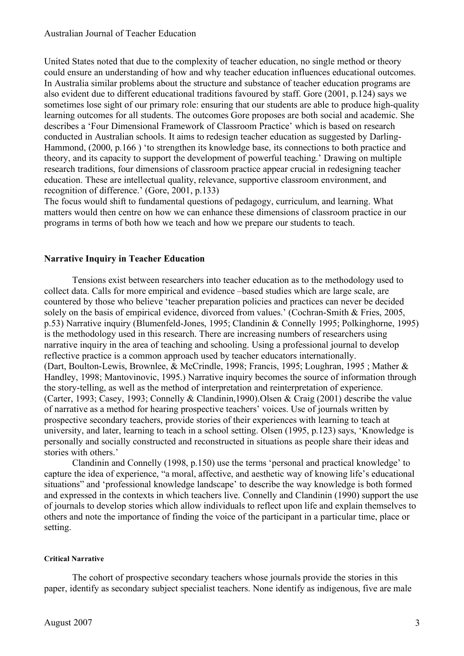United States noted that due to the complexity of teacher education, no single method or theory could ensure an understanding of how and why teacher education influences educational outcomes. In Australia similar problems about the structure and substance of teacher education programs are also evident due to different educational traditions favoured by staff. Gore (2001, p.124) says we sometimes lose sight of our primary role: ensuring that our students are able to produce high-quality learning outcomes for all students. The outcomes Gore proposes are both social and academic. She describes a 'Four Dimensional Framework of Classroom Practice' which is based on research conducted in Australian schools. It aims to redesign teacher education as suggested by Darling-Hammond, (2000, p.166) 'to strengthen its knowledge base, its connections to both practice and theory, and its capacity to support the development of powerful teaching.' Drawing on multiple research traditions, four dimensions of classroom practice appear crucial in redesigning teacher education. These are intellectual quality, relevance, supportive classroom environment, and recognition of difference.' (Gore, 2001, p.133)

The focus would shift to fundamental questions of pedagogy, curriculum, and learning. What matters would then centre on how we can enhance these dimensions of classroom practice in our programs in terms of both how we teach and how we prepare our students to teach.

### **Narrative Inquiry in Teacher Education**

Tensions exist between researchers into teacher education as to the methodology used to collect data. Calls for more empirical and evidence –based studies which are large scale, are countered by those who believe 'teacher preparation policies and practices can never be decided solely on the basis of empirical evidence, divorced from values.' (Cochran-Smith & Fries, 2005, p.53) Narrative inquiry (Blumenfeld-Jones, 1995; Clandinin & Connelly 1995; Polkinghorne, 1995) is the methodology used in this research. There are increasing numbers of researchers using narrative inquiry in the area of teaching and schooling. Using a professional journal to develop reflective practice is a common approach used by teacher educators internationally. (Dart, Boulton-Lewis, Brownlee, & McCrindle, 1998; Francis, 1995; Loughran, 1995 ; Mather & Handley, 1998; Mantovinovic, 1995.) Narrative inquiry becomes the source of information through the story-telling, as well as the method of interpretation and reinterpretation of experience. (Carter, 1993; Casey, 1993; Connelly & Clandinin,1990).Olsen & Craig (2001) describe the value of narrative as a method for hearing prospective teachers' voices. Use of journals written by prospective secondary teachers, provide stories of their experiences with learning to teach at university, and later, learning to teach in a school setting. Olsen (1995, p.123) says, 'Knowledge is personally and socially constructed and reconstructed in situations as people share their ideas and stories with others.'

Clandinin and Connelly (1998, p.150) use the terms 'personal and practical knowledge' to capture the idea of experience, "a moral, affective, and aesthetic way of knowing life's educational situations" and 'professional knowledge landscape' to describe the way knowledge is both formed and expressed in the contexts in which teachers live. Connelly and Clandinin (1990) support the use of journals to develop stories which allow individuals to reflect upon life and explain themselves to others and note the importance of finding the voice of the participant in a particular time, place or setting.

#### **Critical Narrative**

The cohort of prospective secondary teachers whose journals provide the stories in this paper, identify as secondary subject specialist teachers. None identify as indigenous, five are male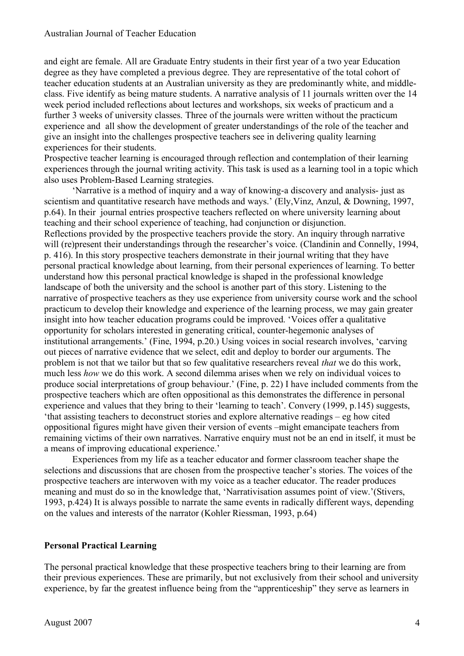and eight are female. All are Graduate Entry students in their first year of a two year Education degree as they have completed a previous degree. They are representative of the total cohort of teacher education students at an Australian university as they are predominantly white, and middleclass. Five identify as being mature students. A narrative analysis of 11 journals written over the 14 week period included reflections about lectures and workshops, six weeks of practicum and a further 3 weeks of university classes. Three of the journals were written without the practicum experience and all show the development of greater understandings of the role of the teacher and give an insight into the challenges prospective teachers see in delivering quality learning experiences for their students.

Prospective teacher learning is encouraged through reflection and contemplation of their learning experiences through the journal writing activity. This task is used as a learning tool in a topic which also uses Problem-Based Learning strategies.

'Narrative is a method of inquiry and a way of knowing-a discovery and analysis- just as scientism and quantitative research have methods and ways.' (Ely,Vinz, Anzul, & Downing, 1997, p.64). In their journal entries prospective teachers reflected on where university learning about teaching and their school experience of teaching, had conjunction or disjunction. Reflections provided by the prospective teachers provide the story. An inquiry through narrative will (re)present their understandings through the researcher's voice. (Clandinin and Connelly, 1994, p. 416). In this story prospective teachers demonstrate in their journal writing that they have personal practical knowledge about learning, from their personal experiences of learning. To better understand how this personal practical knowledge is shaped in the professional knowledge landscape of both the university and the school is another part of this story. Listening to the narrative of prospective teachers as they use experience from university course work and the school practicum to develop their knowledge and experience of the learning process, we may gain greater insight into how teacher education programs could be improved. 'Voices offer a qualitative opportunity for scholars interested in generating critical, counter-hegemonic analyses of institutional arrangements.' (Fine, 1994, p.20.) Using voices in social research involves, 'carving out pieces of narrative evidence that we select, edit and deploy to border our arguments. The problem is not that we tailor but that so few qualitative researchers reveal *that* we do this work, much less *how* we do this work. A second dilemma arises when we rely on individual voices to produce social interpretations of group behaviour.' (Fine, p. 22) I have included comments from the prospective teachers which are often oppositional as this demonstrates the difference in personal experience and values that they bring to their 'learning to teach'. Convery (1999, p.145) suggests, 'that assisting teachers to deconstruct stories and explore alternative readings – eg how cited oppositional figures might have given their version of events –might emancipate teachers from remaining victims of their own narratives. Narrative enquiry must not be an end in itself, it must be a means of improving educational experience.'

Experiences from my life as a teacher educator and former classroom teacher shape the selections and discussions that are chosen from the prospective teacher's stories. The voices of the prospective teachers are interwoven with my voice as a teacher educator. The reader produces meaning and must do so in the knowledge that, 'Narrativisation assumes point of view.'(Stivers, 1993, p.424) It is always possible to narrate the same events in radically different ways, depending on the values and interests of the narrator (Kohler Riessman, 1993, p.64)

### **Personal Practical Learning**

The personal practical knowledge that these prospective teachers bring to their learning are from their previous experiences. These are primarily, but not exclusively from their school and university experience, by far the greatest influence being from the "apprenticeship" they serve as learners in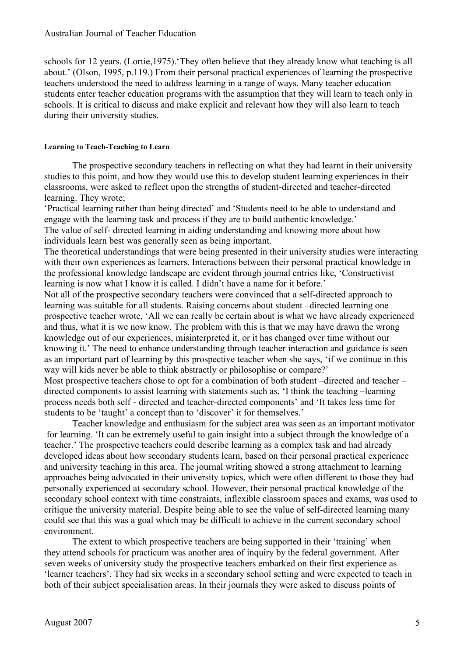schools for 12 years. (Lortie,1975).'They often believe that they already know what teaching is all about.' (Olson, 1995, p.119.) From their personal practical experiences of learning the prospective teachers understood the need to address learning in a range of ways. Many teacher education students enter teacher education programs with the assumption that they will learn to teach only in schools. It is critical to discuss and make explicit and relevant how they will also learn to teach during their university studies.

### **Learning to Teach-Teaching to Learn**

The prospective secondary teachers in reflecting on what they had learnt in their university studies to this point, and how they would use this to develop student learning experiences in their classrooms, were asked to reflect upon the strengths of student-directed and teacher-directed learning. They wrote;

'Practical learning rather than being directed' and 'Students need to be able to understand and engage with the learning task and process if they are to build authentic knowledge.' The value of self- directed learning in aiding understanding and knowing more about how individuals learn best was generally seen as being important.

The theoretical understandings that were being presented in their university studies were interacting with their own experiences as learners. Interactions between their personal practical knowledge in the professional knowledge landscape are evident through journal entries like, 'Constructivist learning is now what I know it is called. I didn't have a name for it before.'

Not all of the prospective secondary teachers were convinced that a self-directed approach to learning was suitable for all students. Raising concerns about student –directed learning one prospective teacher wrote, 'All we can really be certain about is what we have already experienced and thus, what it is we now know. The problem with this is that we may have drawn the wrong knowledge out of our experiences, misinterpreted it, or it has changed over time without our knowing it.' The need to enhance understanding through teacher interaction and guidance is seen as an important part of learning by this prospective teacher when she says, 'if we continue in this way will kids never be able to think abstractly or philosophise or compare?' Most prospective teachers chose to opt for a combination of both student –directed and teacher –

directed components to assist learning with statements such as, 'I think the teaching –learning process needs both self - directed and teacher-directed components' and 'It takes less time for students to be 'taught' a concept than to 'discover' it for themselves.'

Teacher knowledge and enthusiasm for the subject area was seen as an important motivator for learning. 'It can be extremely useful to gain insight into a subject through the knowledge of a teacher.' The prospective teachers could describe learning as a complex task and had already developed ideas about how secondary students learn, based on their personal practical experience and university teaching in this area. The journal writing showed a strong attachment to learning approaches being advocated in their university topics, which were often different to those they had personally experienced at secondary school. However, their personal practical knowledge of the secondary school context with time constraints, inflexible classroom spaces and exams, was used to critique the university material. Despite being able to see the value of self-directed learning many could see that this was a goal which may be difficult to achieve in the current secondary school environment.

The extent to which prospective teachers are being supported in their 'training' when they attend schools for practicum was another area of inquiry by the federal government. After seven weeks of university study the prospective teachers embarked on their first experience as 'learner teachers'. They had six weeks in a secondary school setting and were expected to teach in both of their subject specialisation areas. In their journals they were asked to discuss points of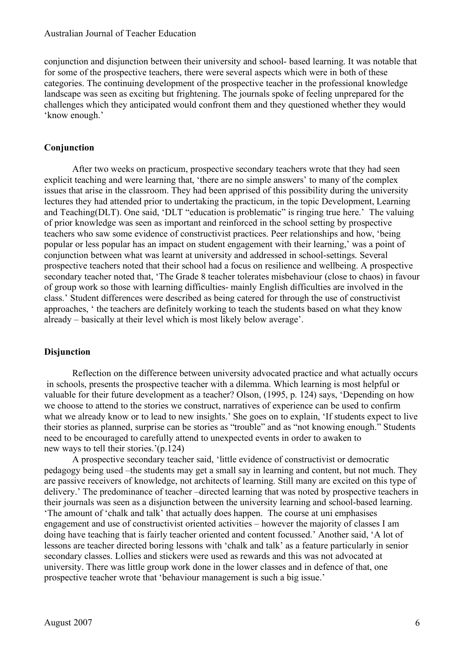conjunction and disjunction between their university and school- based learning. It was notable that for some of the prospective teachers, there were several aspects which were in both of these categories. The continuing development of the prospective teacher in the professional knowledge landscape was seen as exciting but frightening. The journals spoke of feeling unprepared for the challenges which they anticipated would confront them and they questioned whether they would 'know enough.'

## **Conjunction**

After two weeks on practicum, prospective secondary teachers wrote that they had seen explicit teaching and were learning that, 'there are no simple answers' to many of the complex issues that arise in the classroom. They had been apprised of this possibility during the university lectures they had attended prior to undertaking the practicum, in the topic Development, Learning and Teaching(DLT). One said, 'DLT "education is problematic" is ringing true here.' The valuing of prior knowledge was seen as important and reinforced in the school setting by prospective teachers who saw some evidence of constructivist practices. Peer relationships and how, 'being popular or less popular has an impact on student engagement with their learning,' was a point of conjunction between what was learnt at university and addressed in school-settings. Several prospective teachers noted that their school had a focus on resilience and wellbeing. A prospective secondary teacher noted that, 'The Grade 8 teacher tolerates misbehaviour (close to chaos) in favour of group work so those with learning difficulties- mainly English difficulties are involved in the class.' Student differences were described as being catered for through the use of constructivist approaches, ' the teachers are definitely working to teach the students based on what they know already – basically at their level which is most likely below average'.

## **Disjunction**

Reflection on the difference between university advocated practice and what actually occurs in schools, presents the prospective teacher with a dilemma. Which learning is most helpful or valuable for their future development as a teacher? Olson, (1995, p. 124) says, 'Depending on how we choose to attend to the stories we construct, narratives of experience can be used to confirm what we already know or to lead to new insights.' She goes on to explain, 'If students expect to live their stories as planned, surprise can be stories as "trouble" and as "not knowing enough." Students need to be encouraged to carefully attend to unexpected events in order to awaken to new ways to tell their stories.'(p.124)

A prospective secondary teacher said, 'little evidence of constructivist or democratic pedagogy being used –the students may get a small say in learning and content, but not much. They are passive receivers of knowledge, not architects of learning. Still many are excited on this type of delivery.' The predominance of teacher –directed learning that was noted by prospective teachers in their journals was seen as a disjunction between the university learning and school-based learning. 'The amount of 'chalk and talk' that actually does happen. The course at uni emphasises engagement and use of constructivist oriented activities – however the majority of classes I am doing have teaching that is fairly teacher oriented and content focussed.' Another said, 'A lot of lessons are teacher directed boring lessons with 'chalk and talk' as a feature particularly in senior secondary classes. Lollies and stickers were used as rewards and this was not advocated at university. There was little group work done in the lower classes and in defence of that, one prospective teacher wrote that 'behaviour management is such a big issue.'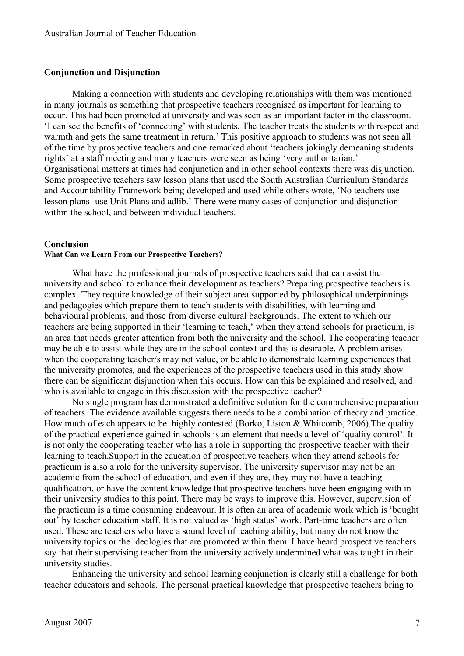#### **Conjunction and Disjunction**

Making a connection with students and developing relationships with them was mentioned in many journals as something that prospective teachers recognised as important for learning to occur. This had been promoted at university and was seen as an important factor in the classroom. 'I can see the benefits of 'connecting' with students. The teacher treats the students with respect and warmth and gets the same treatment in return.' This positive approach to students was not seen all of the time by prospective teachers and one remarked about 'teachers jokingly demeaning students rights' at a staff meeting and many teachers were seen as being 'very authoritarian.' Organisational matters at times had conjunction and in other school contexts there was disjunction. Some prospective teachers saw lesson plans that used the South Australian Curriculum Standards and Accountability Framework being developed and used while others wrote, 'No teachers use lesson plans- use Unit Plans and adlib.' There were many cases of conjunction and disjunction within the school, and between individual teachers.

#### **Conclusion**

#### **What Can we Learn From our Prospective Teachers?**

What have the professional journals of prospective teachers said that can assist the university and school to enhance their development as teachers? Preparing prospective teachers is complex. They require knowledge of their subject area supported by philosophical underpinnings and pedagogies which prepare them to teach students with disabilities, with learning and behavioural problems, and those from diverse cultural backgrounds. The extent to which our teachers are being supported in their 'learning to teach,' when they attend schools for practicum, is an area that needs greater attention from both the university and the school. The cooperating teacher may be able to assist while they are in the school context and this is desirable. A problem arises when the cooperating teacher/s may not value, or be able to demonstrate learning experiences that the university promotes, and the experiences of the prospective teachers used in this study show there can be significant disjunction when this occurs. How can this be explained and resolved, and who is available to engage in this discussion with the prospective teacher?

No single program has demonstrated a definitive solution for the comprehensive preparation of teachers. The evidence available suggests there needs to be a combination of theory and practice. How much of each appears to be highly contested.(Borko, Liston & Whitcomb, 2006).The quality of the practical experience gained in schools is an element that needs a level of 'quality control'. It is not only the cooperating teacher who has a role in supporting the prospective teacher with their learning to teach.Support in the education of prospective teachers when they attend schools for practicum is also a role for the university supervisor. The university supervisor may not be an academic from the school of education, and even if they are, they may not have a teaching qualification, or have the content knowledge that prospective teachers have been engaging with in their university studies to this point. There may be ways to improve this. However, supervision of the practicum is a time consuming endeavour. It is often an area of academic work which is 'bought out' by teacher education staff. It is not valued as 'high status' work. Part-time teachers are often used. These are teachers who have a sound level of teaching ability, but many do not know the university topics or the ideologies that are promoted within them. I have heard prospective teachers say that their supervising teacher from the university actively undermined what was taught in their university studies.

Enhancing the university and school learning conjunction is clearly still a challenge for both teacher educators and schools. The personal practical knowledge that prospective teachers bring to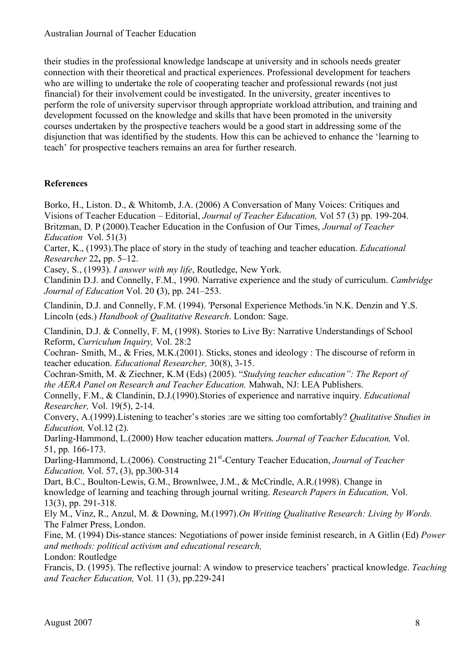their studies in the professional knowledge landscape at university and in schools needs greater connection with their theoretical and practical experiences. Professional development for teachers who are willing to undertake the role of cooperating teacher and professional rewards (not just financial) for their involvement could be investigated. In the university, greater incentives to perform the role of university supervisor through appropriate workload attribution, and training and development focussed on the knowledge and skills that have been promoted in the university courses undertaken by the prospective teachers would be a good start in addressing some of the disjunction that was identified by the students. How this can be achieved to enhance the 'learning to teach' for prospective teachers remains an area for further research.

## **References**

Borko, H., Liston, D., & Whitomb, J.A. (2006) A Conversation of Many Voices: Critiques and Visions of Teacher Education – Editorial, *Journal of Teacher Education,* Vol 57 (3) pp. 199-204. Britzman, D. P (2000).Teacher Education in the Confusion of Our Times, *Journal of Teacher Education* Vol. 51(3)

Carter, K., (1993).The place of story in the study of teaching and teacher education. *Educational Researcher* 22**,** pp. 5–12.

Casey, S., (1993). *I answer with my life*, Routledge, New York.

Clandinin D.J. and Connelly, F.M., 1990. Narrative experience and the study of curriculum. *Cambridge Journal of Education* Vol. 20 **(**3), pp. 241–253.

Clandinin, D.J. and Connelly, F.M. (1994). 'Personal Experience Methods.'in N.K. Denzin and Y.S. Lincoln (eds.) *Handbook of Qualitative Research*. London: Sage.

Clandinin, D.J. & Connelly, F. M, (1998). Stories to Live By: Narrative Understandings of School Reform, *Curriculum Inquiry,* Vol. 28:2

Cochran- Smith, M., & Fries, M.K.(2001). Sticks, stones and ideology : The discourse of reform in teacher education. *Educational Researcher,* 30(8), 3-15.

Cochran-Smith, M. & Ziechner, K.M (Eds) (2005). "*Studying teacher education": The Report of the AERA Panel on Research and Teacher Education.* Mahwah, NJ: LEA Publishers.

Connelly, F.M., & Clandinin, D.J.(1990).Stories of experience and narrative inquiry. *Educational Researcher,* Vol. 19(5), 2-14.

Convery, A.(1999).Listening to teacher's stories :are we sitting too comfortably? *Qualitative Studies in Education,* Vol.12 (2).

Darling-Hammond, L.(2000) How teacher education matters. *Journal of Teacher Education,* Vol. 51, pp. 166-173.

Darling-Hammond, L.(2006). Constructing 21st -Century Teacher Education, *Journal of Teacher Education,* Vol. 57, (3), pp.300-314

Dart, B.C., Boulton-Lewis, G.M., Brownlwee, J.M., & McCrindle, A.R.(1998). Change in knowledge of learning and teaching through journal writing. *Research Papers in Education,* Vol. 13(3), pp. 291-318.

Ely M., Vinz, R., Anzul, M. & Downing, M.(1997).*On Writing Qualitative Research: Living by Words.* The Falmer Press, London.

Fine, M. (1994) Dis-stance stances: Negotiations of power inside feminist research, in A Gitlin (Ed) *Power and methods: political activism and educational research,* London: Routledge

Francis, D. (1995). The reflective journal: A window to preservice teachers' practical knowledge. *Teaching and Teacher Education,* Vol. 11 (3), pp.229-241